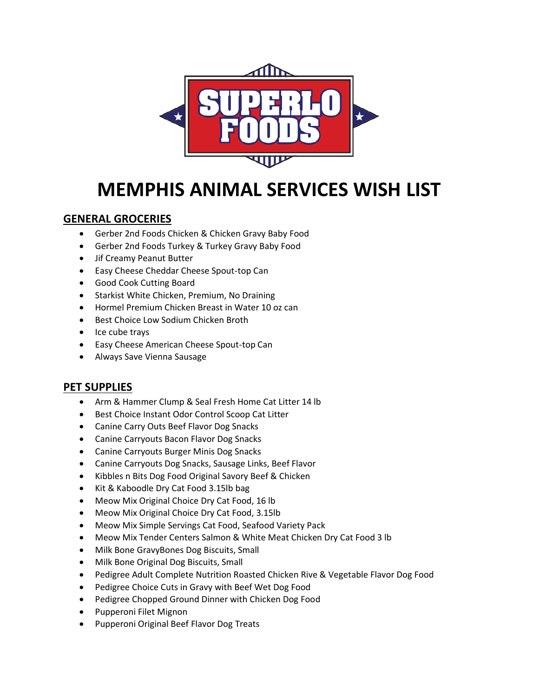

# **MEMPHIS ANIMAL SERVICES WISH LIST**

#### **GENERAL GROCERIES**

- Gerber 2nd Foods Chicken & Chicken Gravy Baby Food
- Gerber 2nd Foods Turkey & Turkey Gravy Baby Food
- Jif Creamy Peanut Butter
- Easy Cheese Cheddar Cheese Spout-top Can
- Good Cook Cutting Board
- Starkist White Chicken, Premium, No Draining
- Hormel Premium Chicken Breast in Water 10 oz can
- Best Choice Low Sodium Chicken Broth
- Ice cube trays
- Easy Cheese American Cheese Spout-top Can
- Always Save Vienna Sausage

### **PET SUPPLIES**

- Arm & Hammer Clump & Seal Fresh Home Cat Litter 14 lb
- Best Choice Instant Odor Control Scoop Cat Litter
- Canine Carry Outs Beef Flavor Dog Snacks
- Canine Carryouts Bacon Flavor Dog Snacks
- Canine Carryouts Burger Minis Dog Snacks
- Canine Carryouts Dog Snacks, Sausage Links, Beef Flavor
- Kibbles n Bits Dog Food Original Savory Beef & Chicken
- Kit & Kaboodle Dry Cat Food 3.15lb bag
- Meow Mix Original Choice Dry Cat Food, 16 lb
- Meow Mix Original Choice Dry Cat Food, 3.15lb
- Meow Mix Simple Servings Cat Food, Seafood Variety Pack
- Meow Mix Tender Centers Salmon & White Meat Chicken Dry Cat Food 3 lb
- Milk Bone GravyBones Dog Biscuits, Small
- Milk Bone Original Dog Biscuits, Small
- Pedigree Adult Complete Nutrition Roasted Chicken Rive & Vegetable Flavor Dog Food
- Pedigree Choice Cuts in Gravy with Beef Wet Dog Food
- Pedigree Chopped Ground Dinner with Chicken Dog Food
- Pupperoni Filet Mignon
- Pupperoni Original Beef Flavor Dog Treats